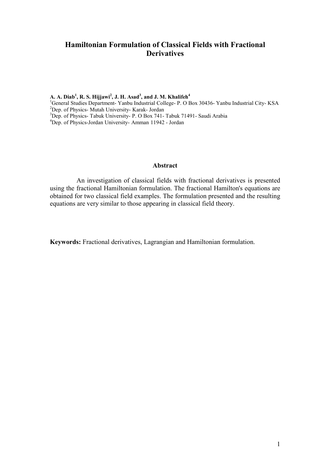## **Hamiltonian Formulation of Classical Fields with Fractional Derivatives**

**A. A. Diab<sup>1</sup> , R. S. Hijjawi<sup>2</sup> , J. H. Asad<sup>3</sup> , and J. M. Khalifeh<sup>4</sup>** <sup>1</sup>General Studies Department- Yanbu Industrial College- P. O Box 30436- Yanbu Industrial City-KSA <sup>2</sup>Dep. of Physics- Mutah University- Karak- Jordan <sup>3</sup>Dep. of Physics- Tabuk University- P. O Box 741- Tabuk 71491- Saudi Arabia <sup>4</sup>Dep. of Physics-Jordan University- Amman 11942 - Jordan

#### **Abstract**

 An investigation of classical fields with fractional derivatives is presented using the fractional Hamiltonian formulation. The fractional Hamilton's equations are obtained for two classical field examples. The formulation presented and the resulting equations are very similar to those appearing in classical field theory.

**Keywords:** Fractional derivatives, Lagrangian and Hamiltonian formulation.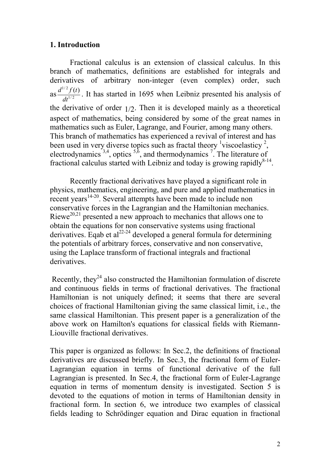# **1. Introduction**

Fractional calculus is an extension of classical calculus. In this branch of mathematics, definitions are established for integrals and derivatives of arbitrary non-integer (even complex) order, such as  $\frac{d^{1/2}f(t)}{dt^{1/2}}$ *dt*  $\frac{d^{1/2} f(t)}{dt^{1/2}}$ . It has started in 1695 when Leibniz presented his analysis of the derivative of order  $1/2$ . Then it is developed mainly as a theoretical aspect of mathematics, being considered by some of the great names in mathematics such as Euler, Lagrange, and Fourier, among many others. This branch of mathematics has experienced a revival of interest and has been used in very diverse topics such as fractal theory  $\frac{1}{1}$  viscoelasticy  $\frac{2}{7}$ , electrodynamics  $^{3,4}$ , optics  $^{5,6}$ , and thermodynamics <sup>7</sup>. The literature of fractional calculus started with Leibniz and today is growing rapidly $8-14$ .

Recently fractional derivatives have played a significant role in physics, mathematics, engineering, and pure and applied mathematics in recent years<sup>14-20</sup>. Several attempts have been made to include non conservative forces in the Lagrangian and the Hamiltonian mechanics. Riewe<sup>20,21</sup> presented a new approach to mechanics that allows one to obtain the equations for non conservative systems using fractional derivatives. Eqab et al<sup>22-24</sup> developed a general formula for determining the potentials of arbitrary forces, conservative and non conservative, using the Laplace transform of fractional integrals and fractional derivatives.

Recently, they<sup>24</sup> also constructed the Hamiltonian formulation of discrete and continuous fields in terms of fractional derivatives. The fractional Hamiltonian is not uniquely defined; it seems that there are several choices of fractional Hamiltonian giving the same classical limit, i.e., the same classical Hamiltonian. This present paper is a generalization of the above work on Hamilton's equations for classical fields with Riemann-Liouville fractional derivatives.

This paper is organized as follows: In Sec.2, the definitions of fractional derivatives are discussed briefly. In Sec.3, the fractional form of Euler-Lagrangian equation in terms of functional derivative of the full Lagrangian is presented. In Sec.4, the fractional form of Euler-Lagrange equation in terms of momentum density is investigated. Section 5 is devoted to the equations of motion in terms of Hamiltonian density in fractional form. In section 6, we introduce two examples of classical fields leading to Schrödinger equation and Dirac equation in fractional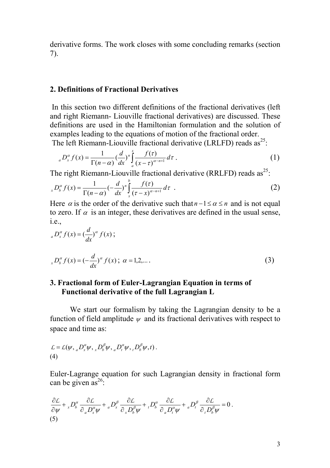derivative forms. The work closes with some concluding remarks (section 7).

### **2. Definitions of Fractional Derivatives**

 In this section two different definitions of the fractional derivatives (left and right Riemann- Liouville fractional derivatives) are discussed. These definitions are used in the Hamiltonian formulation and the solution of examples leading to the equations of motion of the fractional order.

The left Riemann-Liouville fractional derivative (LRLFD) reads  $as^{25}$ :

$$
{}_{a}D_{x}^{\alpha}f(x) = \frac{1}{\Gamma(n-\alpha)} \left(\frac{d}{dx}\right)^{n} \int_{a}^{x} \frac{f(\tau)}{(x-\tau)^{\alpha-n+1}} d\tau \,.
$$
 (1)

The right Riemann-Liouville fractional derivative (RRLFD) reads  $as^{25}$ .

$$
{}_{x}D_{b}^{\alpha}f(x) = \frac{1}{\Gamma(n-\alpha)} \left(-\frac{d}{dx}\right)^{n} \int_{x}^{b} \frac{f(\tau)}{\left(\tau - x\right)^{\alpha - n + 1}} d\tau \quad . \tag{2}
$$

Here  $\alpha$  is the order of the derivative such that  $n-1 \leq \alpha \leq n$  and is not equal to zero. If  $\alpha$  is an integer, these derivatives are defined in the usual sense, i.e.,

$$
{}_{a}D_{x}^{\alpha}f(x) = \left(\frac{d}{dx}\right)^{\alpha} f(x);
$$
  

$$
{}_{x}D_{b}^{\alpha}f(x) = \left(-\frac{d}{dx}\right)^{\alpha} f(x); \ \alpha = 1, 2, \dots
$$
 (3)

## **3. Fractional form of Euler-Lagrangian Equation in terms of Functional derivative of the full Lagrangian L**

We start our formalism by taking the Lagrangian density to be a function of field amplitude  $\psi$  and its fractional derivatives with respect to space and time as:

$$
\mathcal{L} = \mathcal{L}(\psi, {}_{a}D_x^{\alpha}\psi, {}_{x}D_b^{\beta}\psi, {}_{a}D_t^{\alpha}\psi, {}_{t}D_b^{\beta}\psi, t).
$$
\n(4)

Euler-Lagrange equation for such Lagrangian density in fractional form can be given as<sup>26</sup>:

$$
\frac{\partial \mathcal{L}}{\partial \psi} + {}_{x}D_{b}^{\alpha} \frac{\partial \mathcal{L}}{\partial_{a}D_{x}^{\alpha}\psi} + {}_{a}D_{x}^{\beta} \frac{\partial \mathcal{L}}{\partial_{x}D_{b}^{\beta}\psi} + {}_{t}D_{b}^{\alpha} \frac{\partial \mathcal{L}}{\partial_{a}D_{t}^{\alpha}\psi} + {}_{a}D_{t}^{\beta} \frac{\partial \mathcal{L}}{\partial_{t}D_{b}^{\beta}\psi} = 0.
$$
\n(5)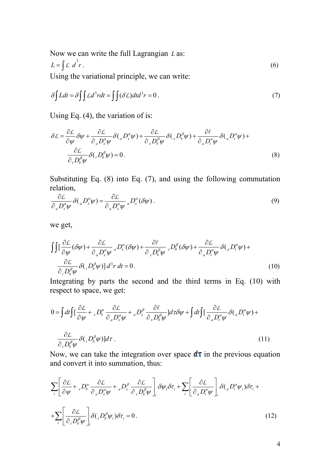Now we can write the full Lagrangian *L* as:  $L = \int \mathcal{L} d^3 r$ .  $L \, d^2 r$ . (6)

Using the variational principle, we can write:

$$
\delta \int Ldt = \delta \int \int Ld^3r dt = \int \int (\delta L)dt d^3r = 0.
$$
 (7)

Using Eq. (4), the variation of is:

$$
\delta L = \frac{\partial L}{\partial \psi} \delta \psi + \frac{\partial L}{\partial_a D_x^{\alpha} \psi} \delta(_a D_x^{\alpha} \psi) + \frac{\partial L}{\partial_x D_b^{\beta} \psi} \delta(_x D_b^{\beta} \psi) + \frac{\partial \ell}{\partial_a D_t^{\alpha} \psi} \delta(_a D_t^{\alpha} \psi) + \frac{\partial L}{\partial_b D_b^{\beta} \psi} \delta(_t D_b^{\beta} \psi) = 0.
$$
\n(8)

Substituting Eq. (8) into Eq. (7), and using the following commutation relation,

$$
\frac{\partial \mathcal{L}}{\partial_a D_x^{\alpha} \psi} \delta\left( {}_a D_x^{\alpha} \psi \right) = \frac{\partial \mathcal{L}}{\partial_a D_x^{\alpha} \psi} {}_a D_x^{\alpha} (\delta \psi) \,. \tag{9}
$$

we get,

$$
\int \int \left[ \frac{\partial \mathcal{L}}{\partial \psi} (\delta \psi) + \frac{\partial \mathcal{L}}{\partial_a D_x^{\alpha} \psi} {}_{a} D_x^{\alpha} (\delta \psi) + \frac{\partial \ell}{\partial_x D_b^{\beta} \psi} {}_{x} D_b^{\beta} (\delta \psi) + \frac{\partial \mathcal{L}}{\partial_a D_t^{\alpha} \psi} \delta ( {}_{a} D_t^{\alpha} \psi) + \frac{\partial \mathcal{L}}{\partial_b D_b^{\beta} \psi} \delta ( {}_{t} D_b^{\beta} \psi) \right] d^3 r \, dt = 0.
$$
\n(10)

Integrating by parts the second and the third terms in Eq. (10) with respect to space, we get:

$$
0 = \int dt \int \left[ \frac{\partial \mathcal{L}}{\partial \psi} + {}_{x}D_{b}^{\alpha} \frac{\partial \mathcal{L}}{\partial_{a}D_{x}^{\alpha}\psi} + {}_{a}D_{x}^{\beta} \frac{\partial \ell}{\partial_{x}D_{b}^{\beta}\psi} \right] d\tau \delta \psi + \int dt \int \left[ \frac{\partial \mathcal{L}}{\partial_{a}D_{t}^{\alpha}\psi} \delta(_{a}D_{t}^{\alpha}\psi) + \frac{\partial \mathcal{L}}{\partial_{t}D_{b}^{\beta}\psi} \delta(_{t}D_{b}^{\beta}\psi) \right] d\tau.
$$
\n(11)

Now, we can take the integration over space  $d\tau$  in the previous equation and convert it into summation, thus:

$$
\sum_{i} \left[ \frac{\partial \mathcal{L}}{\partial \psi} + {}_{x}D_{b}^{\alpha} \frac{\partial \mathcal{L}}{\partial_{a}D_{x}^{\alpha}\psi} + {}_{a}D_{x}^{\beta} \frac{\partial \mathcal{L}}{\partial_{x}D_{b}^{\beta}\psi} \right]_{i} \delta \psi_{i} \delta \tau_{i} + \sum_{i} \left[ \frac{\partial \mathcal{L}}{\partial_{a}D_{i}^{\alpha}\psi} \right]_{i} \delta \left( {}_{a}D_{i}^{\alpha}\psi_{i} \right) \delta \tau_{i} +
$$

$$
+ \sum_{i} \left[ \frac{\partial \mathcal{L}}{\partial_{i}D_{b}^{\beta}\psi} \right]_{i} \delta \left( {}_{t}D_{b}^{\beta}\psi_{i} \right) \delta \tau_{i} = 0. \tag{12}
$$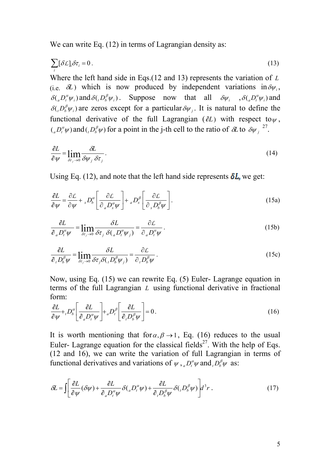We can write Eq. (12) in terms of Lagrangian density as:

$$
\sum_{i} [\delta \mathcal{L}]_{i} \delta \tau_{i} = 0. \tag{13}
$$

Where the left hand side in Eqs.(12 and 13) represents the variation of *L* (i.e.  $\delta L$ ) which is now produced by independent variations in  $\delta \psi_i$ ,  $\delta({}_a D_t^a \psi_i)$  and  $\delta({}_t D_b^{\beta} \psi_i)$ . Suppose now that all  $\delta \psi_i$ ,  $\delta({}_a D_t^{\alpha} \psi_i)$  and  $\delta({}_i D_b^{\beta} \psi_i)$  are zeros except for a particular  $\delta \psi_j$ . It is natural to define the functional derivative of the full Lagrangian ( $\partial L$ ) with respect to  $\psi$ ,  $\left( \partial_a D_t^a \psi \right)$  and  $\left( \partial_b D_b^b \psi \right)$  for a point in the j-th cell to the ratio of  $\partial L$  to  $\partial \psi_j^{27}$ .

$$
\frac{\partial L}{\partial \psi} = \lim_{\delta \tau_j \to 0} \frac{\partial L}{\partial \psi_j \, \delta \tau_j} \,. \tag{14}
$$

Using Eq. (12), and note that the left hand side represents  $\delta L$ , we get:

$$
\frac{\partial L}{\partial \psi} = \frac{\partial L}{\partial \psi} + {}_{x}D_{b}^{\alpha} \left[ \frac{\partial L}{\partial {}_{a}D_{x}^{\alpha} \psi} \right] + {}_{a}D_{x}^{\beta} \left[ \frac{\partial L}{\partial {}_{x}D_{b}^{\beta} \psi} \right].
$$
\n(15a)

$$
\frac{\partial L}{\partial_a D_t^{\alpha} \psi} = \lim_{\delta \tau_j \to 0} \frac{\partial L}{\partial \tau_j \delta(_a D_t^{\alpha} \psi_j)} = \frac{\partial L}{\partial_a D_t^{\alpha} \psi}.
$$
(15b)

$$
\frac{\partial L}{\partial_t D_b^{\beta} \psi} = \lim_{\delta \tau_j \to 0} \frac{\delta L}{\delta \tau_j \delta (D_b^{\beta} \psi_j)} = \frac{\partial L}{\partial_t D_b^{\beta} \psi}.
$$
\n(15c)

Now, using Eq. (15) we can rewrite Eq. (5) Euler- Lagrange equation in terms of the full Lagrangian *L* using functional derivative in fractional form:

$$
\frac{\partial L}{\partial \psi} + D_b^{\alpha} \left[ \frac{\partial L}{\partial_a D_t^{\alpha} \psi} \right] + {}_a D_t^{\beta} \left[ \frac{\partial L}{\partial_t D_b^{\beta} \psi} \right] = 0 \,. \tag{16}
$$

It is worth mentioning that for  $\alpha$ ,  $\beta \rightarrow 1$ , Eq. (16) reduces to the usual Euler- Lagrange equation for the classical fields<sup>27</sup>. With the help of Eqs. (12 and 16), we can write the variation of full Lagrangian in terms of functional derivatives and variations of  $\psi$ ,  $D_t^{\alpha} \psi$  and  $D_b^{\beta} \psi$  as:

$$
\delta L = \int \left[ \frac{\partial L}{\partial \psi} (\delta \psi) + \frac{\partial L}{\partial_a D_i^{\alpha} \psi} \delta \left( {}_{a} D_i^{\alpha} \psi \right) + \frac{\partial L}{\partial_i D_b^{\beta} \psi} \delta \left( {}_{t} D_b^{\beta} \psi \right) \right] d^3 r \,. \tag{17}
$$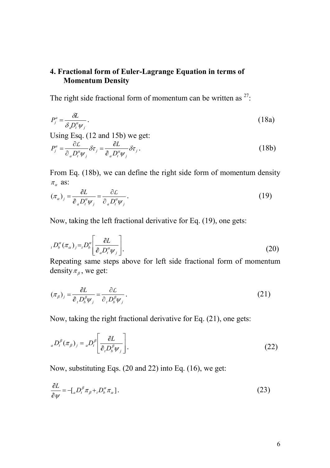# **4. Fractional form of Euler-Lagrange Equation in terms of Momentum Density**

The right side fractional form of momentum can be written as  $27$ .

$$
P_j^a = \frac{\partial L}{\partial \rho_i^a \psi_j}.
$$
 (18a)

Using Esq. (12 and 15b) we get:

$$
P_j^a = \frac{\partial \mathcal{L}}{\partial_a D_i^{\alpha} \psi_j} \delta \tau_j = \frac{\partial L}{\partial_a D_i^{\alpha} \psi_j} \delta \tau_j.
$$
 (18b)

From Eq. (18b), we can define the right side form of momentum density  $\pi_{\alpha}$  as:

$$
(\pi_{\alpha})_j = \frac{\partial L}{\partial_{\alpha} D_t^{\alpha} \psi_j} = \frac{\partial L}{\partial_{\alpha} D_t^{\alpha} \psi_j}.
$$
 (19)

Now, taking the left fractional derivative for Eq. (19), one gets:

$$
{}_{t}D_{b}^{\alpha}(\pi_{\alpha})_{j} = {}_{t}D_{b}^{\alpha}\left[\frac{\partial L}{\partial_{a}D_{t}^{\alpha}\psi_{j}}\right].
$$
\n(20)

Repeating same steps above for left side fractional form of momentum density  $\pi_{\beta}$ , we get:

$$
(\pi_{\beta})_j = \frac{\partial L}{\partial_i D_b^{\beta} \psi_j} = \frac{\partial L}{\partial_i D_b^{\beta} \psi_j}.
$$
 (21)

Now, taking the right fractional derivative for Eq. (21), one gets:

$$
{}_{a}D_{t}^{\beta}(\pi_{\beta})_{j} = {}_{a}D_{t}^{\beta}\left[\frac{\partial L}{\partial_{i}D_{b}^{\beta}\psi_{j}}\right].
$$
\n(22)

Now, substituting Eqs. (20 and 22) into Eq. (16), we get:

$$
\frac{\partial L}{\partial \psi} = -[{}_{a}D_{t}^{\beta}\pi_{\beta} + {}_{t}D_{b}^{\alpha}\pi_{\alpha}].
$$
\n(23)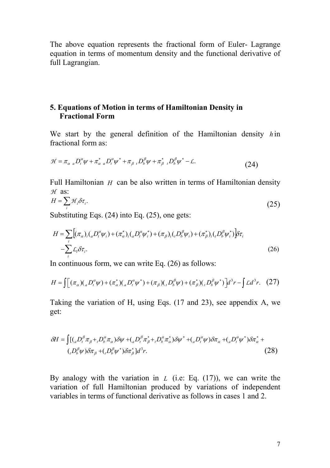The above equation represents the fractional form of Euler- Lagrange equation in terms of momentum density and the functional derivative of full Lagrangian.

# **5. Equations of Motion in terms of Hamiltonian Density in Fractional Form**

We start by the general definition of the Hamiltonian density *h* in fractional form as:

$$
\mathcal{H} = \pi_{\alpha}{}_{a} D_{t}^{\alpha} \psi + \pi_{\alpha}^{*}{}_{a} D_{t}^{\alpha} \psi^{*} + \pi_{\beta}{}_{t} D_{b}^{\beta} \psi + \pi_{\beta}^{*}{}_{t} D_{b}^{\beta} \psi^{*} - \mathcal{L}.
$$
\n(24)

Full Hamiltonian *H* can be also written in terms of Hamiltonian density *H* as:

$$
H = \sum_{i} \mathcal{H}_{i} \delta \tau_{i}.
$$
 (25)

Substituting Eqs. (24) into Eq. (25), one gets:

$$
H = \sum_{i} \left[ (\pi_{\alpha})_i \left( {}_{a}D_i^{\alpha} \psi_i \right) + (\pi_{\alpha}^*)_i \left( {}_{a}D_i^{\alpha} \psi_i^* \right) + (\pi_{\beta})_i \left( {}_{t}D_b^{\beta} \psi_i \right) + (\pi_{\beta}^*)_i \left( {}_{t}D_b^{\beta} \psi_i^* \right) \right] \delta \tau_i
$$
  
-
$$
\sum_{i} L_i \delta \tau_i.
$$
 (26)

In continuous form, we can write Eq. (26) as follows:

$$
H = \int \left[ (\pi_a) ( {}_a D_t^{\alpha} \psi) + (\pi_a^*) ( {}_a D_t^{\alpha} \psi^*) + (\pi_{\beta}) ( {}_t D_b^{\beta} \psi) + (\pi_{\beta}^*) ( {}_t D_b^{\beta} \psi^*) \right] d^3 r - \int L d^3 r. \tag{27}
$$

Taking the variation of H, using Eqs. (17 and 23), see appendix A, we get:

$$
\delta H = \int \left[ \left( {}_{a}D_{t}^{\beta} \pi_{\beta} + {}_{t}D_{b}^{\alpha} \pi_{\alpha} \right) \delta \psi + \left( {}_{a}D_{t}^{\beta} \pi_{\beta}^{*} + {}_{t}D_{b}^{\alpha} \pi_{\alpha}^{*} \right) \delta \psi^{*} + \left( {}_{a}D_{t}^{\alpha} \psi \right) \delta \pi_{\alpha} + \left( {}_{a}D_{t}^{\alpha} \psi^{*} \right) \delta \pi_{\alpha}^{*} + \\ \left( {}_{t}D_{b}^{\beta} \psi \right) \delta \pi_{\beta} + \left( {}_{t}D_{b}^{\beta} \psi^{*} \right) \delta \pi_{\beta}^{*} \right] d^{3} r. \tag{28}
$$

By analogy with the variation in *L* (i.e: Eq. (17)), we can write the variation of full Hamiltonian produced by variations of independent variables in terms of functional derivative as follows in cases 1 and 2.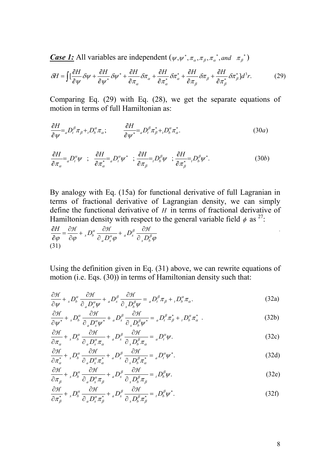*Case 1:* All variables are independent  $(\psi, \psi^*, \pi_\alpha, \pi_\beta, \pi_\alpha^*,$  and  $\pi_\beta^*)$ 

$$
\delta H = \int \left[\frac{\partial H}{\partial \psi} \delta \psi + \frac{\partial H}{\partial \psi^*} \delta \psi^* + \frac{\partial H}{\partial \pi_\alpha} \delta \pi_\alpha + \frac{\partial H}{\partial \pi_\alpha^*} \delta \pi_\alpha^* + \frac{\partial H}{\partial \pi_\beta} \delta \pi_\beta + \frac{\partial H}{\partial \pi_\beta^*} \delta \pi_\beta^* \right] d^3 r. \tag{29}
$$

Comparing Eq. (29) with Eq. (28), we get the separate equations of motion in terms of full Hamiltonian as:

$$
\frac{\partial H}{\partial \psi} = {}_{a}D^{\beta}_{t}\pi_{\beta} + {}_{t}D^{\alpha}_{b}\pi_{\alpha}; \qquad \frac{\partial H}{\partial \psi^{*}} = {}_{a}D^{\beta}_{t}\pi^{*}_{\beta} + {}_{t}D^{\alpha}_{b}\pi^{*}_{\alpha}.
$$
\n(30*a*)

$$
\frac{\partial H}{\partial \pi_{\alpha}} = {}_{a}D_{t}^{\alpha}\psi \quad ; \quad \frac{\partial H}{\partial \pi_{\alpha}^{*}} = {}_{a}D_{t}^{\alpha}\psi^{*} \quad ; \quad \frac{\partial H}{\partial \pi_{\beta}} = {}_{t}D_{b}^{\beta}\psi \quad ; \quad \frac{\partial H}{\partial \pi_{\beta}^{*}} = {}_{t}D_{b}^{\beta}\psi^{*}.
$$
\n
$$
(30b)
$$

 By analogy with Eq. (15a) for functional derivative of full Lagranian in terms of fractional derivative of Lagrangian density, we can simply define the functional derivative of *H* in terms of fractional derivative of Hamiltonian density with respect to the general variable field  $\phi$  as <sup>27</sup>:

$$
\frac{\partial H}{\partial \varphi} = \frac{\partial H}{\partial \varphi} + {}_{x}D_{b}^{\alpha} \frac{\partial H}{\partial {\partial}_{a}D_{x}^{\alpha} \varphi} + {}_{a}D_{x}^{\beta} \frac{\partial H}{\partial {\partial}_{x}D_{b}^{\beta} \varphi}
$$
\n(31)

Using the definition given in Eq. (31) above, we can rewrite equations of motion (i.e. Eqs. (30)) in terms of Hamiltonian density such that:

$$
\frac{\partial \mathcal{H}}{\partial \psi} + {}_{x}D_{b}^{\alpha} \frac{\partial \mathcal{H}}{\partial_{a}D_{x}^{\alpha}\psi} + {}_{a}D_{x}^{\beta} \frac{\partial \mathcal{H}}{\partial_{x}D_{b}^{\beta}\psi} = {}_{a}D_{t}^{\beta}\pi_{\beta} + {}_{t}D_{b}^{\alpha}\pi_{\alpha}.
$$
 (32a)

$$
\frac{\partial \mathcal{H}}{\partial \psi^*} + {}_{x}D_b^{\alpha} \frac{\partial \mathcal{H}}{\partial_{a}D_x^{\alpha}\psi^*} + {}_{a}D_x^{\beta} \frac{\partial \mathcal{H}}{\partial_{x}D_b^{\beta}\psi^*} = {}_{a}D_t^{\beta}\pi_{\beta}^* + {}_{t}D_b^{\alpha}\pi_{\alpha}^* \tag{32b}
$$

$$
\frac{\partial \mathcal{H}}{\partial \pi_{\alpha}} + {}_{x}D_{b}^{\alpha} \frac{\partial \mathcal{H}}{\partial_{a}D_{x}^{\alpha}\pi_{\alpha}} + {}_{a}D_{x}^{\beta} \frac{\partial \mathcal{H}}{\partial_{x}D_{b}^{\beta}\pi_{\alpha}} = {}_{a}D_{t}^{\alpha}\psi.
$$
\n(32c)

$$
\frac{\partial \mathcal{H}}{\partial \pi_a^*} + \, _x D_b^{\alpha} \frac{\partial \mathcal{H}}{\partial \, _a D_x^{\alpha} \pi_a^*} + \, _a D_x^{\beta} \frac{\partial \mathcal{H}}{\partial \, _x D_b^{\beta} \pi_a^*} = \, _a D_t^{\alpha} \psi^*.
$$
\n(32d)

$$
\frac{\partial \mathcal{H}}{\partial \pi_{\beta}} + {}_{x}D_{b}^{\alpha} \frac{\partial \mathcal{H}}{\partial_{a}D_{x}^{\alpha}\pi_{\beta}} + {}_{a}D_{x}^{\beta} \frac{\partial \mathcal{H}}{\partial_{x}D_{b}^{\beta}\pi_{\beta}} = {}_{t}D_{b}^{\beta}\psi.
$$
\n(32e)

$$
\frac{\partial \mathcal{H}}{\partial \pi_{\beta}^{*}} + {}_{x}D_{b}^{\alpha} \frac{\partial \mathcal{H}}{\partial_{a}D_{x}^{\alpha} \pi_{\beta}^{*}} + {}_{a}D_{x}^{\beta} \frac{\partial \mathcal{H}}{\partial_{x}D_{b}^{\beta} \pi_{\beta}^{*}} = {}_{t}D_{b}^{\beta} \psi^{*}.
$$
\n(32f)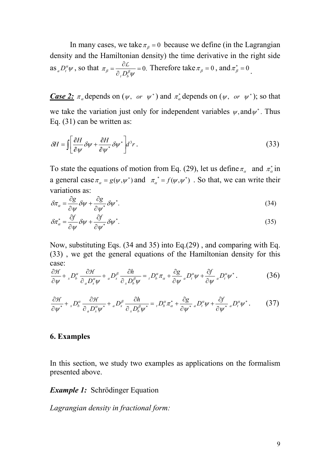In many cases, we take  $\pi_{\beta} = 0$  because we define (in the Lagrangian density and the Hamiltonian density) the time derivative in the right side as  $_{a}D_{t}^{\alpha}\psi$ , so that  $\pi_{\beta} = \frac{UL}{2R} = 0$ .  $\pi_{\scriptscriptstyle{\beta}} = \frac{1}{\partial_{\scriptscriptstyle{\beta}} D_{\scriptscriptstyle{b}}^{\scriptscriptstyle{\beta}}}$ ψ  $=\frac{\partial \mathcal{L}}{\partial \mathbf{p}^{\beta}}=$ ∂  $\frac{\mathcal{L}}{\mathcal{D}_\beta^{\beta} w} = 0$ . Therefore take  $\pi_\beta = 0$ , and  $\pi_\beta^* = 0$ .

*Case 2:*  $\pi_{\alpha}$  depends on  $(\psi, or \psi^*)$  and  $\pi_{\alpha}^*$  depends on  $(\psi, or \psi^*)$ ; so that we take the variation just only for independent variables  $\psi$ , and  $\psi^*$ . Thus Eq. (31) can be written as:

$$
\delta H = \int \left[ \frac{\partial H}{\partial \psi} \delta \psi + \frac{\partial H}{\partial \psi^*} \delta \psi^* \right] d^3 r \,. \tag{33}
$$

To state the equations of motion from Eq. (29), let us define  $\pi_{\alpha}$  and  $\pi_{\alpha}^{*}$  in a general case  $\pi_{\alpha} = g(\psi, \psi^*)$  and  $\pi_{\alpha}^* = f(\psi, \psi^*)$ . So that, we can write their variations as:

$$
\delta \pi_{\alpha} = \frac{\partial g}{\partial \psi} \delta \psi + \frac{\partial g}{\partial \psi^*} \delta \psi^*.
$$
\n(34)

$$
\delta \pi_{\alpha}^* = \frac{\partial f}{\partial \psi} \delta \psi + \frac{\partial f}{\partial \psi^*} \delta \psi^*.
$$
 (35)

Now, substituting Eqs. (34 and 35) into Eq.(29) , and comparing with Eq. (33) , we get the general equations of the Hamiltonian density for this case:

$$
\frac{\partial \mathcal{H}}{\partial \psi} + {}_{x}D_{b}^{\alpha} \frac{\partial \mathcal{H}}{\partial_{a}D_{x}^{\alpha}\psi} + {}_{a}D_{x}^{\beta} \frac{\partial h}{\partial_{x}D_{b}^{\beta}\psi} = {}_{t}D_{b}^{\alpha}\pi_{\alpha} + \frac{\partial g}{\partial \psi} {}_{a}D_{t}^{\alpha}\psi + \frac{\partial f}{\partial \psi} {}_{a}D_{t}^{\alpha}\psi^{*}.
$$
 (36)

$$
\frac{\partial \mathcal{H}}{\partial \psi^*} + {}_{x}D_b^{\alpha} \frac{\partial \mathcal{H}}{\partial_{a}D_x^{\alpha}\psi^*} + {}_{a}D_x^{\beta} \frac{\partial h}{\partial_{x}D_b^{\beta}\psi^*} = {}_{t}D_b^{\alpha}\pi_{\alpha}^* + \frac{\partial g}{\partial \psi^*} {}_{a}D_t^{\alpha}\psi + \frac{\partial f}{\partial \psi^*} {}_{a}D_t^{\alpha}\psi^*.
$$
 (37)

#### **6. Examples**

In this section, we study two examples as applications on the formalism presented above.

*Example 1:* Schrödinger Equation

*Lagrangian density in fractional form:*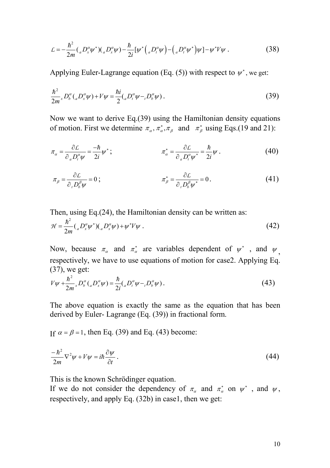$$
\mathcal{L} = -\frac{\hbar^2}{2m} \left( {}_{a}D_x^{\alpha} \psi^* \right) \left( {}_{a}D_x^{\alpha} \psi \right) - \frac{\hbar}{2i} \left[ \psi^* \left( {}_{a}D_t^{\alpha} \psi \right) - \left( {}_{a}D_t^{\alpha} \psi^* \right) \psi \right] - \psi^* V \psi . \tag{38}
$$

Applying Euler-Lagrange equation (Eq. (5)) with respect to  $\psi^*$ , we get:

$$
\frac{\hbar^2}{2m} {}_{x}D_b^{\alpha} ({}_{a}D_x^{\alpha}\psi) + V\psi = \frac{\hbar i}{2} ({}_{a}D_t^{\alpha}\psi - {}_{t}D_b^{\alpha}\psi).
$$
 (39)

Now we want to derive Eq.(39) using the Hamiltonian density equations of motion. First we determine  $\pi_{\alpha}$ ,  $\pi_{\alpha}^{*}$ ,  $\pi_{\beta}$  and  $\pi_{\beta}^{*}$  using Eqs.(19 and 21):

$$
\pi_{\alpha} = \frac{\partial \mathcal{L}}{\partial_{a} D_{i}^{\alpha} \psi} = \frac{-\hbar}{2i} \psi^{*}; \qquad \pi_{\alpha}^{*} = \frac{\partial \mathcal{L}}{\partial_{a} D_{i}^{\alpha} \psi^{*}} = \frac{\hbar}{2i} \psi \,. \tag{40}
$$

$$
\pi_{\beta} = \frac{\partial \mathcal{L}}{\partial_{\tau} D_{b}^{\beta} \psi} = 0 ; \qquad \pi_{\beta}^{*} = \frac{\partial \mathcal{L}}{\partial_{\tau} D_{b}^{\beta} \psi^{*}} = 0 . \qquad (41)
$$

Then, using Eq.(24), the Hamiltonian density can be written as:

$$
\mathcal{H} = \frac{\hbar^2}{2m} \left( {}_a D_x^{\alpha} \psi^* \right) \left( {}_a D_x^{\alpha} \psi \right) + \psi^* V \psi \ . \tag{42}
$$

Now, because  $\pi_{\alpha}$  and  $\pi_{\alpha}^{*}$  are variables dependent of  $\psi^{*}$  , and  $\psi_{,}$ respectively, we have to use equations of motion for case2. Applying Eq. (37), we get:

$$
V\psi + \frac{\hbar^2}{2m} {}_{x}D_b^{\alpha}({}_{a}D_x^{\alpha}\psi) = \frac{\hbar}{2i}({}_{a}D_t^{\alpha}\psi - {}_{t}D_b^{\alpha}\psi).
$$
 (43)

The above equation is exactly the same as the equation that has been derived by Euler- Lagrange (Eq. (39)) in fractional form.

If  $\alpha = \beta = 1$ , then Eq. (39) and Eq. (43) become:

$$
\frac{-\hbar^2}{2m}\nabla^2\psi + V\psi = i\hbar\frac{\partial\psi}{\partial t}.
$$
\n(44)

This is the known Schrödinger equation.

If we do not consider the dependency of  $\pi_{\alpha}$  and  $\pi_{\alpha}^{*}$  on  $\psi^{*}$ , and  $\psi$ , respectively, and apply Eq. (32b) in case1, then we get: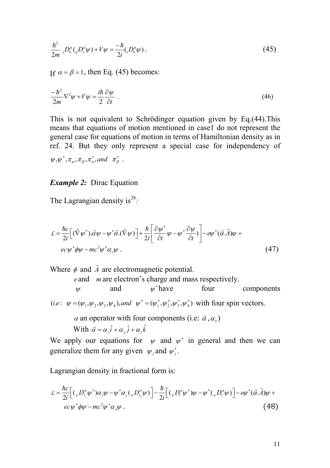$$
\frac{\hbar^2}{2m} \, _x D_b^{\alpha} ( _a D_x^{\alpha} \psi) + V \psi = \frac{-\hbar}{2i} ( _t D_b^{\alpha} \psi) \,. \tag{45}
$$

If  $\alpha = \beta = 1$ , then Eq. (45) becomes:

$$
\frac{-\hbar^2}{2m}\nabla^2\psi + V\psi = \frac{i\hbar}{2}\frac{\partial\psi}{\partial t} \tag{46}
$$

This is not equivalent to Schrödinger equation given by Eq.(44).This means that equations of motion mentioned in case1 do not represent the general case for equations of motion in terms of Hamiltonian density as in ref. 24. But they only represent a special case for independency of  $\psi, \psi^*, \pi_\alpha, \pi_\beta, \pi_\alpha^*,$  and  $\pi_\beta^*$ .

#### *Example 2:* Dirac Equation

The Lagrangian density is<sup>28</sup>:

$$
\mathcal{L} = \frac{\hbar c}{2i} \Big[ (\vec{\nabla}\psi^*) \cdot \vec{\alpha}\psi - \psi^* \vec{\alpha}.(\vec{\nabla}\psi) \Big] + \frac{\hbar}{2i} \Big[ \frac{\partial \psi^*}{\partial t} \psi - \psi^* \frac{\partial \psi}{\partial t} \Big] - e\psi^* (\vec{\alpha}. \vec{A})\psi +
$$
  
ec  $\psi^* \phi \psi - mc^2 \psi^* \alpha_0 \psi$ . (47)

Where  $\phi$  and  $\overline{A}$  $\rightarrow$ are electromagnetic potential.

*e* and *m* are electron's charge and mass respectively.

 $\psi$  and  $\psi$ <sup>\*</sup> have four components

(*i.e*:  $\psi = (\psi_1, \psi_2, \psi_3, \psi_4)$ , and  $\psi^* = (\psi_1^*, \psi_2^*, \psi_3^*, \psi_4^*)$ *i.e*:  $\psi = (\psi_1, \psi_2, \psi_3, \psi_4)$ , *and*  $\psi^* = (\psi_1^*, \psi_2^*, \psi_3^*, \psi_4^*)$  with four spin vectors.

 $\alpha$  an operator with four components (i.e:  $\vec{\alpha}$ , $\alpha$ <sub>o</sub>)

With  $\vec{\alpha} = \alpha_x \hat{i} + \alpha_y \hat{j} + \alpha_z \hat{k}$ 

We apply our equations for  $\psi$  and  $\psi^*$  in general and then we can generalize them for any given  $\psi_j$  and  $\psi_j^*$ .

Lagrangian density in fractional form is:

$$
\mathcal{L} = \frac{\hbar c}{2i} \Big[ \left( {}_{a}D_{x_{j}}^{\alpha}\psi^{*} \right) \alpha_{j}\psi - \psi^{*}\alpha_{j} \left( {}_{a}D_{x_{j}}^{\alpha}\psi \right) \Big] - \frac{\hbar}{2i} \Big[ \left( {}_{a}D_{t}^{\alpha}\psi^{*} \right) \psi - \psi^{*} \left( {}_{a}D_{t}^{\alpha}\psi \right) \Big] - e\psi^{*}(\vec{\alpha}.\vec{A})\psi + e c\psi^{*}\phi\psi - mc^{2}\psi^{*}\alpha_{j}\psi . \tag{48}
$$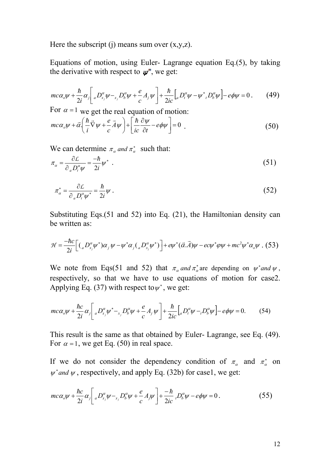Here the subscript (j) means sum over  $(x,y,z)$ .

Equations of motion, using Euler- Lagrange equation Eq.(5), by taking the derivative with respect to  $\psi^*$ , we get:

$$
mc\alpha_v\psi + \frac{\hbar}{2i}\alpha_j\bigg[{}_aD_{x_j}^\alpha\psi - {}_{x_j}D_b^\alpha\psi + \frac{e}{c}A_j\psi\bigg] + \frac{\hbar}{2ic}\bigg[{}_aD_i^\alpha\psi - \psi^*, D_b^\alpha\psi\bigg] - e\phi\psi = 0\,. \tag{49}
$$

For  $\alpha = 1$  we get the real equation of motion:

$$
mc\alpha_v \psi + \vec{\alpha} \left( \frac{\hbar}{i} \vec{\nabla} \psi + \frac{e}{c} \vec{A} \psi \right) + \left[ \frac{\hbar}{ic} \frac{\partial \psi}{\partial t} - e \phi \psi \right] = 0 \quad . \tag{50}
$$

We can determine  $\pi_a$  and  $\pi_a^*$  such that:

$$
\pi_{\alpha} = \frac{\partial \mathcal{L}}{\partial_{a} D_{i}^{\alpha} \psi} = \frac{-\hbar}{2i} \psi^{*} \tag{51}
$$

$$
\pi_{\alpha}^* = \frac{\partial \mathcal{L}}{\partial_{a} D_{i}^{\alpha} \psi^*} = \frac{\hbar}{2i} \psi \ . \tag{52}
$$

Substituting Eqs.(51 and 52) into Eq. (21), the Hamiltonian density can be written as:

$$
\mathcal{H} = \frac{-\hbar c}{2i} \Big[ \left( {}_{a}D_{x_j}^{\alpha}\psi^* \right) \alpha_j \psi - \psi^* \alpha_j \left( {}_{a}D_{x_j}^{\alpha}\psi^* \right) \Big] + e\psi^* (\vec{\alpha}.\vec{A}) \psi - e c \psi^* \varphi \psi + mc^2 \psi^* \alpha_o \psi .
$$
 (53)

We note from Eqs(51 and 52) that  $\pi_a$  and  $\pi_a^*$  are depending on  $\psi^*$  and  $\psi$ , respectively, so that we have to use equations of motion for case2. Applying Eq. (37) with respect to  $\psi^*$ , we get:

$$
mc\alpha_v \psi + \frac{\hbar c}{2i} \alpha_j \bigg[ a D_{x_j}^\alpha \psi^* - a_j D_b^\alpha \psi + \frac{e}{c} A_j \psi \bigg] + \frac{\hbar}{2ic} \bigg[ a D_t^\alpha \psi - a_j D_b^\alpha \psi \bigg] - e \phi \psi = 0. \tag{54}
$$

This result is the same as that obtained by Euler- Lagrange, see Eq. (49). For  $\alpha = 1$ , we get Eq. (50) in real space.

If we do not consider the dependency condition of  $\pi_{\alpha}$  and  $\pi_{\alpha}^{*}$  on  $\psi^*$  *and*  $\psi$ , respectively, and apply Eq. (32b) for case1, we get:

$$
mc\alpha_o\psi + \frac{\hbar c}{2i}\alpha_j \bigg[ a D_{x_j}^\alpha \psi - a_j D_b^\alpha \psi + \frac{e}{c} A_j \psi \bigg] + \frac{-\hbar}{2ic} {}_i D_b^\alpha \psi - e \phi \psi = 0 \,. \tag{55}
$$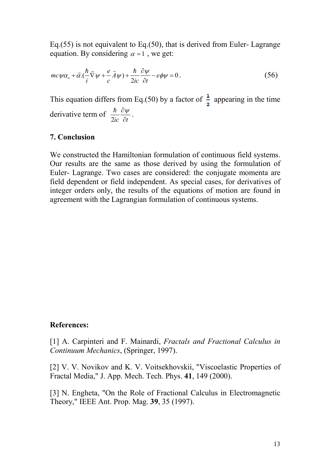Eq.(55) is not equivalent to Eq.(50), that is derived from Euler- Lagrange equation. By considering  $\alpha = 1$ , we get:

$$
mc\psi\alpha_o + \vec{\alpha}.\left(\frac{\hbar}{i}\vec{\nabla}\psi + \frac{e}{c}\vec{A}\psi\right) + \frac{\hbar}{2ic}\frac{\partial\psi}{\partial t} - e\phi\psi = 0.
$$
\n(56)

This equation differs from Eq.(50) by a factor of  $\frac{1}{2}$  appearing in the time derivative term of *ic* ∂*t*  $\partial \psi$ 2  $\frac{\hbar}{\omega} \frac{\partial \psi}{\partial \omega}$ .

### **7. Conclusion**

We constructed the Hamiltonian formulation of continuous field systems. Our results are the same as those derived by using the formulation of Euler- Lagrange. Two cases are considered: the conjugate momenta are field dependent or field independent. As special cases, for derivatives of integer orders only, the results of the equations of motion are found in agreement with the Lagrangian formulation of continuous systems.

#### **References:**

[1] A. Carpinteri and F. Mainardi, *Fractals and Fractional Calculus in Continuum Mechanics*, (Springer, 1997).

[2] V. V. Novikov and K. V. Voitsekhovskii, "Viscoelastic Properties of Fractal Media," J. App. Mech. Tech. Phys. **41**, 149 (2000).

[3] N. Engheta, "On the Role of Fractional Calculus in Electromagnetic Theory," IEEE Ant. Prop. Mag. **39**, 35 (1997).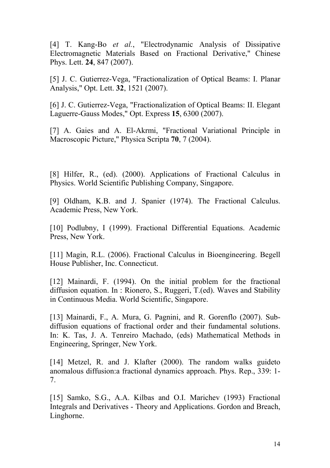[4] T. Kang-Bo *et al.*, "Electrodynamic Analysis of Dissipative Electromagnetic Materials Based on Fractional Derivative," Chinese Phys. Lett. **24**, 847 (2007).

[5] J. C. Gutierrez-Vega, "Fractionalization of Optical Beams: I. Planar Analysis," Opt. Lett. **32**, 1521 (2007).

[6] J. C. Gutierrez-Vega, "Fractionalization of Optical Beams: II. Elegant Laguerre-Gauss Modes," Opt. Express **15**, 6300 (2007).

[7] A. Gaies and A. El-Akrmi, "Fractional Variational Principle in Macroscopic Picture," Physica Scripta **70**, 7 (2004).

[8] Hilfer, R., (ed). (2000). Applications of Fractional Calculus in Physics. World Scientific Publishing Company, Singapore.

[9] Oldham, K.B. and J. Spanier (1974). The Fractional Calculus. Academic Press, New York.

[10] Podlubny, I (1999). Fractional Differential Equations. Academic Press, New York.

[11] Magin, R.L. (2006). Fractional Calculus in Bioengineering. Begell House Publisher, Inc. Connecticut.

[12] Mainardi, F. (1994). On the initial problem for the fractional diffusion equation. In : Rionero, S., Ruggeri, T.(ed). Waves and Stability in Continuous Media. World Scientific, Singapore.

[13] Mainardi, F., A. Mura, G. Pagnini, and R. Gorenflo (2007). Subdiffusion equations of fractional order and their fundamental solutions. In: K. Tas, J. A. Tenreiro Machado, (eds) Mathematical Methods in Engineering, Springer, New York.

[14] Metzel, R. and J. Klafter (2000). The random walks guideto anomalous diffusion:a fractional dynamics approach. Phys. Rep., 339: 1- 7.

[15] Samko, S.G., A.A. Kilbas and O.I. Marichev (1993) Fractional Integrals and Derivatives - Theory and Applications. Gordon and Breach, Linghorne.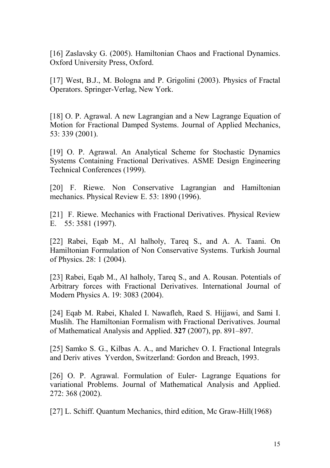[16] Zaslavsky G. (2005). Hamiltonian Chaos and Fractional Dynamics. Oxford University Press, Oxford.

[17] West, B.J., M. Bologna and P. Grigolini (2003). Physics of Fractal Operators. Springer-Verlag, New York.

[18] O. P. Agrawal. A new Lagrangian and a New Lagrange Equation of Motion for Fractional Damped Systems. Journal of Applied Mechanics, 53: 339 (2001).

[19] O. P. Agrawal. An Analytical Scheme for Stochastic Dynamics Systems Containing Fractional Derivatives. ASME Design Engineering Technical Conferences (1999).

[20] F. Riewe. Non Conservative Lagrangian and Hamiltonian mechanics. Physical Review E. 53: 1890 (1996).

[21] F. Riewe. Mechanics with Fractional Derivatives. Physical Review E. 55: 3581 (1997).

[22] Rabei, Eqab M., Al halholy, Tareq S., and A. A. Taani. On Hamiltonian Formulation of Non Conservative Systems. Turkish Journal of Physics. 28: 1 (2004).

[23] Rabei, Eqab M., Al halholy, Tareq S., and A. Rousan. Potentials of Arbitrary forces with Fractional Derivatives. International Journal of Modern Physics A. 19: 3083 (2004).

[24] Eqab M. Rabei, Khaled I. Nawafleh, Raed S. Hijjawi, and Sami I. Muslih. The Hamiltonian Formalism with Fractional Derivatives. Journal of Mathematical Analysis and Applied. **327** (2007), pp. 891–897.

[25] Samko S. G., Kilbas A. A., and Marichev O. I. Fractional Integrals and Deriv atives Yverdon, Switzerland: Gordon and Breach, 1993.

[26] O. P. Agrawal. Formulation of Euler- Lagrange Equations for variational Problems. Journal of Mathematical Analysis and Applied. 272: 368 (2002).

[27] L. Schiff. Quantum Mechanics, third edition, Mc Graw-Hill(1968)